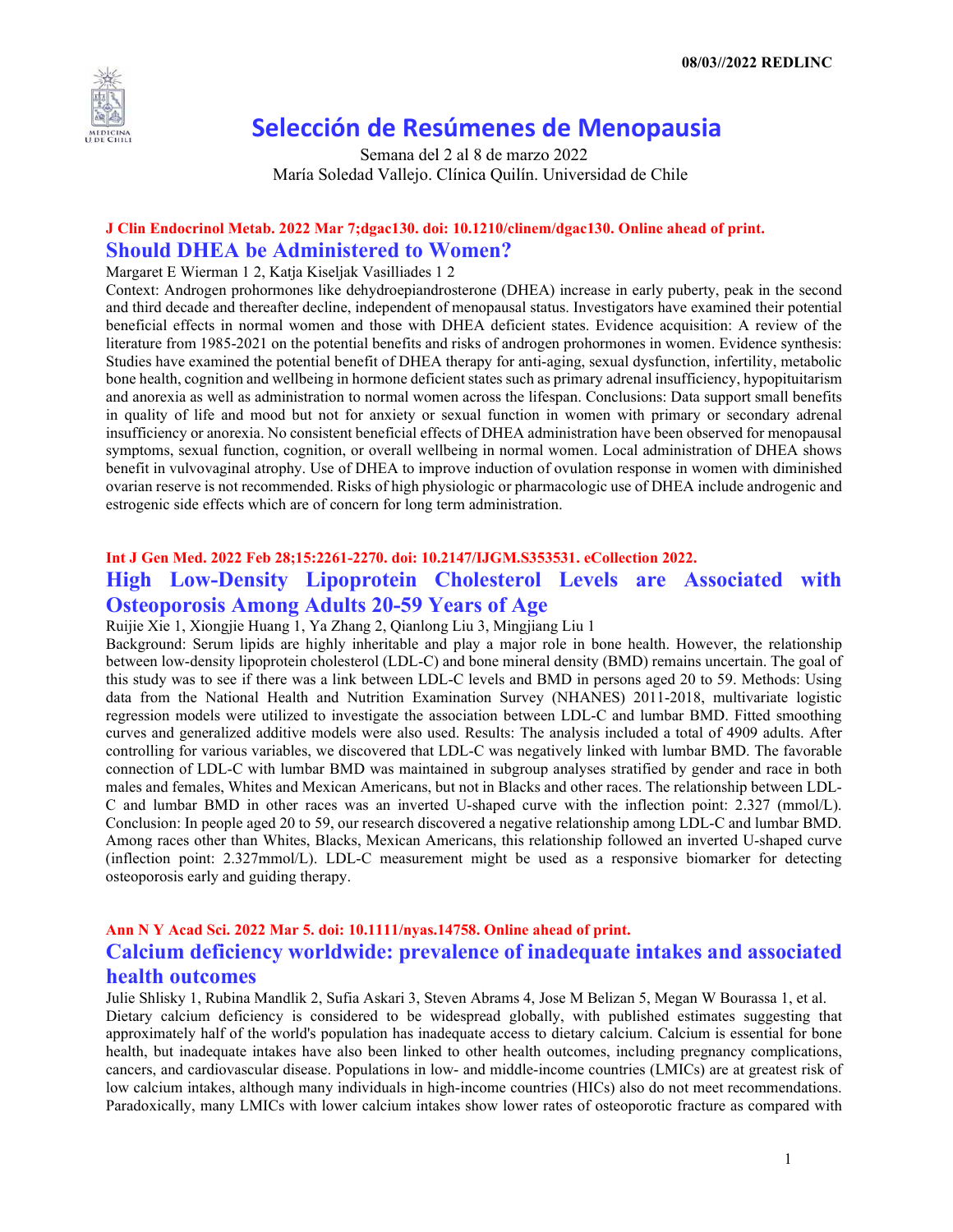

# **Selección de Resúmenes de Menopausia**

Semana del 2 al 8 de marzo 2022 María Soledad Vallejo. Clínica Quilín. Universidad de Chile

## **J Clin Endocrinol Metab. 2022 Mar 7;dgac130. doi: 10.1210/clinem/dgac130. Online ahead of print. Should DHEA be Administered to Women?**

#### Margaret E Wierman 1 2, Katja Kiseljak Vasilliades 1 2

Context: Androgen prohormones like dehydroepiandrosterone (DHEA) increase in early puberty, peak in the second and third decade and thereafter decline, independent of menopausal status. Investigators have examined their potential beneficial effects in normal women and those with DHEA deficient states. Evidence acquisition: A review of the literature from 1985-2021 on the potential benefits and risks of androgen prohormones in women. Evidence synthesis: Studies have examined the potential benefit of DHEA therapy for anti-aging, sexual dysfunction, infertility, metabolic bone health, cognition and wellbeing in hormone deficient states such as primary adrenal insufficiency, hypopituitarism and anorexia as well as administration to normal women across the lifespan. Conclusions: Data support small benefits in quality of life and mood but not for anxiety or sexual function in women with primary or secondary adrenal insufficiency or anorexia. No consistent beneficial effects of DHEA administration have been observed for menopausal symptoms, sexual function, cognition, or overall wellbeing in normal women. Local administration of DHEA shows benefit in vulvovaginal atrophy. Use of DHEA to improve induction of ovulation response in women with diminished ovarian reserve is not recommended. Risks of high physiologic or pharmacologic use of DHEA include androgenic and estrogenic side effects which are of concern for long term administration.

## **Int J Gen Med. 2022 Feb 28;15:2261-2270. doi: 10.2147/IJGM.S353531. eCollection 2022. High Low-Density Lipoprotein Cholesterol Levels are Associated with Osteoporosis Among Adults 20-59 Years of Age**

Ruijie Xie 1, Xiongjie Huang 1, Ya Zhang 2, Qianlong Liu 3, Mingjiang Liu 1

Background: Serum lipids are highly inheritable and play a major role in bone health. However, the relationship between low-density lipoprotein cholesterol (LDL-C) and bone mineral density (BMD) remains uncertain. The goal of this study was to see if there was a link between LDL-C levels and BMD in persons aged 20 to 59. Methods: Using data from the National Health and Nutrition Examination Survey (NHANES) 2011-2018, multivariate logistic regression models were utilized to investigate the association between LDL-C and lumbar BMD. Fitted smoothing curves and generalized additive models were also used. Results: The analysis included a total of 4909 adults. After controlling for various variables, we discovered that LDL-C was negatively linked with lumbar BMD. The favorable connection of LDL-C with lumbar BMD was maintained in subgroup analyses stratified by gender and race in both males and females, Whites and Mexican Americans, but not in Blacks and other races. The relationship between LDL-C and lumbar BMD in other races was an inverted U-shaped curve with the inflection point: 2.327 (mmol/L). Conclusion: In people aged 20 to 59, our research discovered a negative relationship among LDL-C and lumbar BMD. Among races other than Whites, Blacks, Mexican Americans, this relationship followed an inverted U-shaped curve (inflection point: 2.327mmol/L). LDL-C measurement might be used as a responsive biomarker for detecting osteoporosis early and guiding therapy.

# **Ann N Y Acad Sci. 2022 Mar 5. doi: 10.1111/nyas.14758. Online ahead of print. Calcium deficiency worldwide: prevalence of inadequate intakes and associated health outcomes**

Julie Shlisky 1, Rubina Mandlik 2, Sufia Askari 3, Steven Abrams 4, Jose M Belizan 5, Megan W Bourassa 1, et al. Dietary calcium deficiency is considered to be widespread globally, with published estimates suggesting that approximately half of the world's population has inadequate access to dietary calcium. Calcium is essential for bone health, but inadequate intakes have also been linked to other health outcomes, including pregnancy complications, cancers, and cardiovascular disease. Populations in low- and middle-income countries (LMICs) are at greatest risk of low calcium intakes, although many individuals in high-income countries (HICs) also do not meet recommendations. Paradoxically, many LMICs with lower calcium intakes show lower rates of osteoporotic fracture as compared with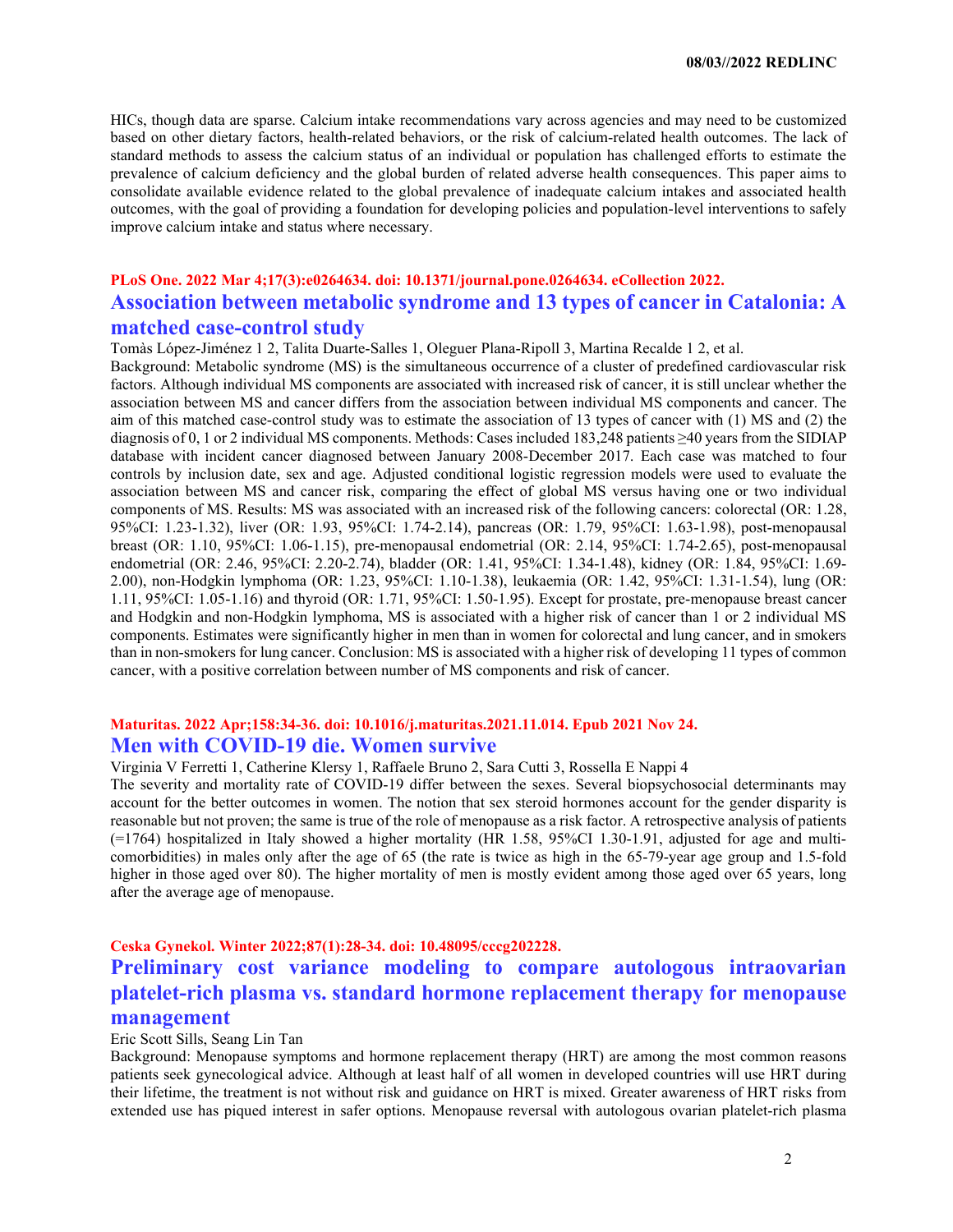**08/03//2022 REDLINC**

HICs, though data are sparse. Calcium intake recommendations vary across agencies and may need to be customized based on other dietary factors, health-related behaviors, or the risk of calcium-related health outcomes. The lack of standard methods to assess the calcium status of an individual or population has challenged efforts to estimate the prevalence of calcium deficiency and the global burden of related adverse health consequences. This paper aims to consolidate available evidence related to the global prevalence of inadequate calcium intakes and associated health outcomes, with the goal of providing a foundation for developing policies and population-level interventions to safely improve calcium intake and status where necessary.

## **PLoS One. 2022 Mar 4;17(3):e0264634. doi: 10.1371/journal.pone.0264634. eCollection 2022. Association between metabolic syndrome and 13 types of cancer in Catalonia: A matched case-control study**

Tomàs López-Jiménez 1 2, Talita Duarte-Salles 1, Oleguer Plana-Ripoll 3, Martina Recalde 1 2, et al.

Background: Metabolic syndrome (MS) is the simultaneous occurrence of a cluster of predefined cardiovascular risk factors. Although individual MS components are associated with increased risk of cancer, it is still unclear whether the association between MS and cancer differs from the association between individual MS components and cancer. The aim of this matched case-control study was to estimate the association of 13 types of cancer with (1) MS and (2) the diagnosis of 0, 1 or 2 individual MS components. Methods: Cases included 183,248 patients ≥40 years from the SIDIAP database with incident cancer diagnosed between January 2008-December 2017. Each case was matched to four controls by inclusion date, sex and age. Adjusted conditional logistic regression models were used to evaluate the association between MS and cancer risk, comparing the effect of global MS versus having one or two individual components of MS. Results: MS was associated with an increased risk of the following cancers: colorectal (OR: 1.28, 95%CI: 1.23-1.32), liver (OR: 1.93, 95%CI: 1.74-2.14), pancreas (OR: 1.79, 95%CI: 1.63-1.98), post-menopausal breast (OR: 1.10, 95%CI: 1.06-1.15), pre-menopausal endometrial (OR: 2.14, 95%CI: 1.74-2.65), post-menopausal endometrial (OR: 2.46, 95%CI: 2.20-2.74), bladder (OR: 1.41, 95%CI: 1.34-1.48), kidney (OR: 1.84, 95%CI: 1.69- 2.00), non-Hodgkin lymphoma (OR: 1.23, 95%CI: 1.10-1.38), leukaemia (OR: 1.42, 95%CI: 1.31-1.54), lung (OR: 1.11, 95%CI: 1.05-1.16) and thyroid (OR: 1.71, 95%CI: 1.50-1.95). Except for prostate, pre-menopause breast cancer and Hodgkin and non-Hodgkin lymphoma, MS is associated with a higher risk of cancer than 1 or 2 individual MS components. Estimates were significantly higher in men than in women for colorectal and lung cancer, and in smokers than in non-smokers for lung cancer. Conclusion: MS is associated with a higher risk of developing 11 types of common cancer, with a positive correlation between number of MS components and risk of cancer.

### **Maturitas. 2022 Apr;158:34-36. doi: 10.1016/j.maturitas.2021.11.014. Epub 2021 Nov 24. Men with COVID-19 die. Women survive**

Virginia V Ferretti 1, Catherine Klersy 1, Raffaele Bruno 2, Sara Cutti 3, Rossella E Nappi 4

The severity and mortality rate of COVID-19 differ between the sexes. Several biopsychosocial determinants may account for the better outcomes in women. The notion that sex steroid hormones account for the gender disparity is reasonable but not proven; the same is true of the role of menopause as a risk factor. A retrospective analysis of patients (=1764) hospitalized in Italy showed a higher mortality (HR 1.58, 95%CI 1.30-1.91, adjusted for age and multicomorbidities) in males only after the age of 65 (the rate is twice as high in the 65-79-year age group and 1.5-fold higher in those aged over 80). The higher mortality of men is mostly evident among those aged over 65 years, long after the average age of menopause.

#### **Ceska Gynekol. Winter 2022;87(1):28-34. doi: 10.48095/cccg202228.**

# **Preliminary cost variance modeling to compare autologous intraovarian platelet-rich plasma vs. standard hormone replacement therapy for menopause management**

#### Eric Scott Sills, Seang Lin Tan

Background: Menopause symptoms and hormone replacement therapy (HRT) are among the most common reasons patients seek gynecological advice. Although at least half of all women in developed countries will use HRT during their lifetime, the treatment is not without risk and guidance on HRT is mixed. Greater awareness of HRT risks from extended use has piqued interest in safer options. Menopause reversal with autologous ovarian platelet-rich plasma